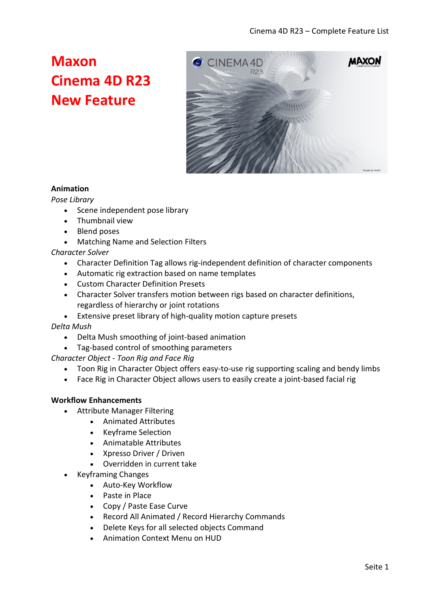# **Maxon Cinema 4D R23 New Feature**



# **Animation**

*Pose Library*

- Scene independent pose library
- Thumbnail view
- Blend poses
- Matching Name and Selection Filters

#### *Character Solver*

- Character Definition Tag allows rig-independent definition of character components
- Automatic rig extraction based on name templates
- Custom Character Definition Presets
- Character Solver transfers motion between rigs based on character definitions, regardless of hierarchy or joint rotations
- Extensive preset library of high-quality motion capture presets

*Delta Mush*

- Delta Mush smoothing of joint-based animation
- Tag-based control of smoothing parameters

*Character Object - Toon Rig and Face Rig*

- Toon Rig in Character Object offers easy-to-use rig supporting scaling and bendy limbs
- Face Rig in Character Object allows users to easily create a joint-based facial rig

#### **Workflow Enhancements**

- Attribute Manager Filtering
	- Animated Attributes
	- Keyframe Selection
	- Animatable Attributes
	- Xpresso Driver / Driven
	- Overridden in current take
- Keyframing Changes
	- Auto-Key Workflow
	- Paste in Place
	- Copy / Paste Ease Curve
	- Record All Animated / Record Hierarchy Commands
	- Delete Keys for all selected objects Command
	- Animation Context Menu on HUD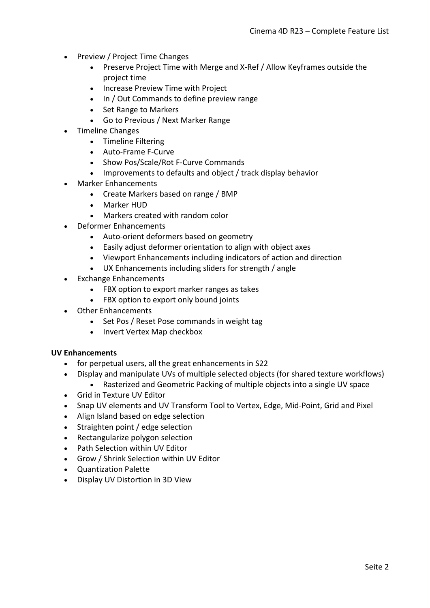- Preview / Project Time Changes
	- Preserve Project Time with Merge and X-Ref / Allow Keyframes outside the project time
	- Increase Preview Time with Project
	- In / Out Commands to define preview range
	- Set Range to Markers
	- Go to Previous / Next Marker Range
- Timeline Changes
	- Timeline Filtering
	- Auto-Frame F-Curve
	- Show Pos/Scale/Rot F-Curve Commands
	- Improvements to defaults and object / track display behavior
- Marker Enhancements
	- Create Markers based on range / BMP
	- Marker HUD
	- Markers created with random color
- Deformer Enhancements
	- Auto-orient deformers based on geometry
	- Easily adjust deformer orientation to align with object axes
	- Viewport Enhancements including indicators of action and direction
	- UX Enhancements including sliders for strength / angle
- Exchange Enhancements
	- FBX option to export marker ranges as takes
	- FBX option to export only bound joints
- Other Enhancements
	- Set Pos / Reset Pose commands in weight tag
	- Invert Vertex Map checkbox

#### **UV Enhancements**

- for perpetual users, all the great enhancements in S22
- Display and manipulate UVs of multiple selected objects (for shared texture workflows)
	- Rasterized and Geometric Packing of multiple objects into a single UV space
- Grid in Texture UV Editor
- Snap UV elements and UV Transform Tool to Vertex, Edge, Mid-Point, Grid and Pixel
- Align Island based on edge selection
- Straighten point / edge selection
- Rectangularize polygon selection
- Path Selection within UV Editor
- Grow / Shrink Selection within UV Editor
- Quantization Palette
- Display UV Distortion in 3D View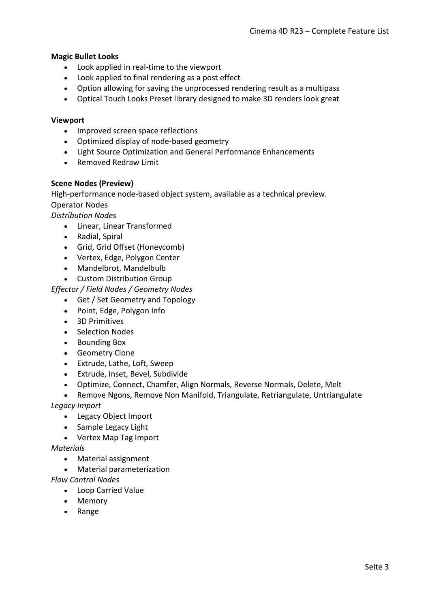#### **Magic Bullet Looks**

- Look applied in real-time to the viewport
- Look applied to final rendering as a post effect
- Option allowing for saving the unprocessed rendering result as a multipass
- Optical Touch Looks Preset library designed to make 3D renders look great

#### **Viewport**

- Improved screen space reflections
- Optimized display of node-based geometry
- Light Source Optimization and General Performance Enhancements
- Removed Redraw Limit

#### **Scene Nodes (Preview)**

High-performance node-based object system, available as a technical preview. Operator Nodes

*Distribution Nodes*

- Linear, Linear Transformed
- Radial, Spiral
- Grid, Grid Offset (Honeycomb)
- Vertex, Edge, Polygon Center
- Mandelbrot, Mandelbulb
- Custom Distribution Group

*Effector / Field Nodes / Geometry Nodes*

- Get / Set Geometry and Topology
- Point, Edge, Polygon Info
- 3D Primitives
- Selection Nodes
- Bounding Box
- Geometry Clone
- Extrude, Lathe, Loft, Sweep
- Extrude, Inset, Bevel, Subdivide
- Optimize, Connect, Chamfer, Align Normals, Reverse Normals, Delete, Melt
- Remove Ngons, Remove Non Manifold, Triangulate, Retriangulate, Untriangulate

*Legacy Import*

- Legacy Object Import
- Sample Legacy Light
- Vertex Map Tag Import

*Materials*

- Material assignment
- Material parameterization

*Flow Control Nodes*

- Loop Carried Value
- Memory
- Range